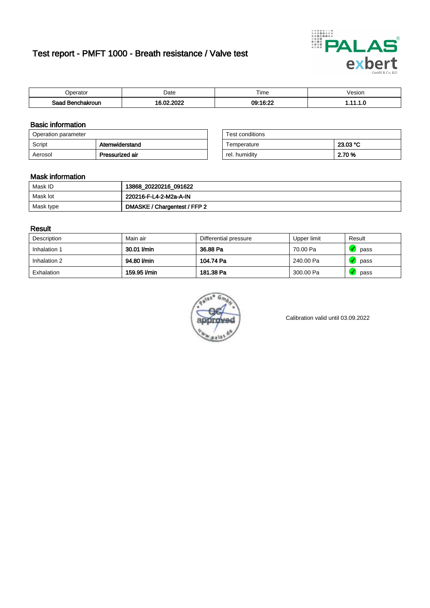# Test report - PMFT 1000 - Breath resistance / Valve test



| )perator               | Date                                            | $- \cdot$<br>Гіmе | esion |
|------------------------|-------------------------------------------------|-------------------|-------|
| המס<br>hakroun<br>32 H | 000 <sup>0</sup><br>$\sim$ 00 $\sim$<br>л.<br>. | 09:16:22          | .     |

### Basic information

| Operation parameter |                 | Test conditions |          |
|---------------------|-----------------|-----------------|----------|
| Script              | Atemwiderstand  | Temperature     | 23.03 °C |
| Aerosol             | Pressurized air | rel. humiditv   | 2.70 %   |

| Test conditions |          |
|-----------------|----------|
| Temperature     | 23.03 °C |
| rel. humidity   | 2.70 %   |

#### Mask information

| Mask ID   | 13868_20220216_091622        |
|-----------|------------------------------|
| Mask lot  | 220216-F-L4-2-M2a-A-IN       |
| Mask type | DMASKE / Chargentest / FFP 2 |

### Result

| Description  | Main air     | Differential pressure | Upper limit | Result |
|--------------|--------------|-----------------------|-------------|--------|
| Inhalation 1 | 30.01 l/min  | 36.88 Pa              | 70.00 Pa    | pass   |
| Inhalation 2 | 94.80 l/min  | 104.74 Pa             | 240.00 Pa   | pass   |
| Exhalation   | 159.95 l/min | 181.38 Pa             | 300.00 Pa   | pass   |



Calibration valid until 03.09.2022